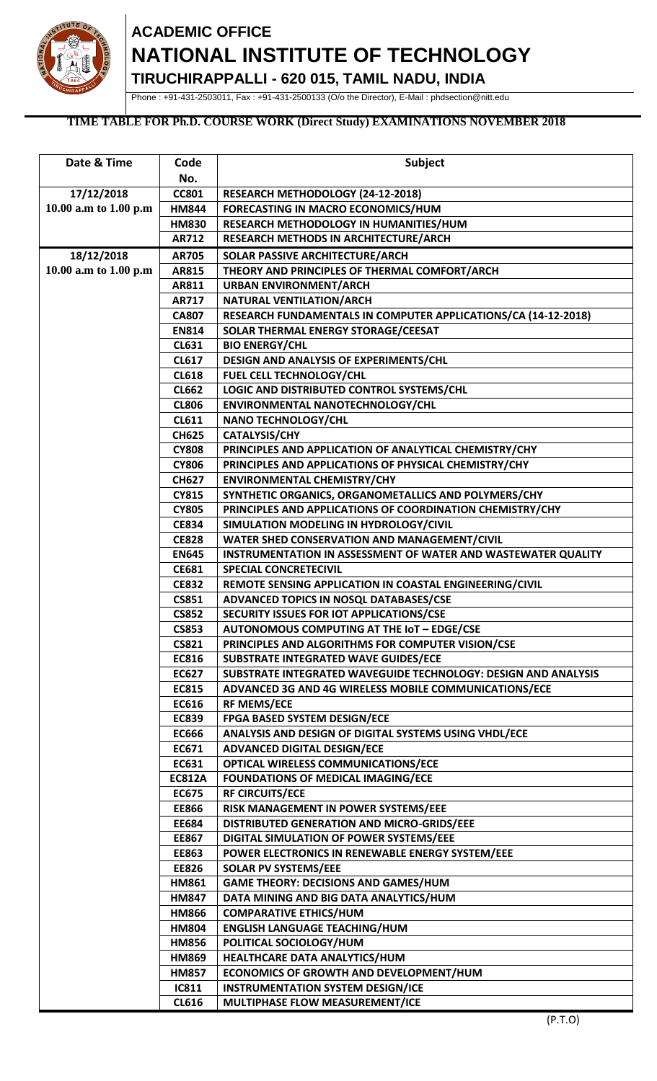

## **ACADEMIC OFFICE NATIONAL INSTITUTE OF TECHNOLOGY**

**TIRUCHIRAPPALLI - 620 015, TAMIL NADU, INDIA**

Phone : +91-431-2503011, Fax : +91-431-2500133 (O/o the Director), E-Mail : phdsection@nitt.edu

## **TIME TABLE FOR Ph.D. COURSE WORK (Direct Study) EXAMINATIONS NOVEMBER 2018**

| Date & Time           | Code                         | Subject                                                                                             |
|-----------------------|------------------------------|-----------------------------------------------------------------------------------------------------|
|                       | No.                          |                                                                                                     |
| 17/12/2018            | <b>CC801</b>                 | RESEARCH METHODOLOGY (24-12-2018)                                                                   |
| 10.00 a.m to 1.00 p.m | <b>HM844</b>                 | FORECASTING IN MACRO ECONOMICS/HUM                                                                  |
|                       | <b>HM830</b>                 | RESEARCH METHODOLOGY IN HUMANITIES/HUM                                                              |
|                       | <b>AR712</b>                 | RESEARCH METHODS IN ARCHITECTURE/ARCH                                                               |
| 18/12/2018            | <b>AR705</b>                 | SOLAR PASSIVE ARCHITECTURE/ARCH                                                                     |
| 10.00 a.m to 1.00 p.m | AR815                        | THEORY AND PRINCIPLES OF THERMAL COMFORT/ARCH                                                       |
|                       | AR811                        | <b>URBAN ENVIRONMENT/ARCH</b>                                                                       |
|                       | <b>AR717</b>                 | NATURAL VENTILATION/ARCH                                                                            |
|                       | <b>CA807</b>                 | RESEARCH FUNDAMENTALS IN COMPUTER APPLICATIONS/CA (14-12-2018)                                      |
|                       | <b>EN814</b>                 | SOLAR THERMAL ENERGY STORAGE/CEESAT                                                                 |
|                       | <b>CL631</b>                 | <b>BIO ENERGY/CHL</b>                                                                               |
|                       | <b>CL617</b>                 | DESIGN AND ANALYSIS OF EXPERIMENTS/CHL                                                              |
|                       | <b>CL618</b>                 | FUEL CELL TECHNOLOGY/CHL                                                                            |
|                       | <b>CL662</b>                 | LOGIC AND DISTRIBUTED CONTROL SYSTEMS/CHL                                                           |
|                       | <b>CL806</b>                 | ENVIRONMENTAL NANOTECHNOLOGY/CHL                                                                    |
|                       | <b>CL611</b>                 | <b>NANO TECHNOLOGY/CHL</b>                                                                          |
|                       | <b>CH625</b>                 | <b>CATALYSIS/CHY</b>                                                                                |
|                       | <b>CY808</b>                 | PRINCIPLES AND APPLICATION OF ANALYTICAL CHEMISTRY/CHY                                              |
|                       | <b>CY806</b>                 | PRINCIPLES AND APPLICATIONS OF PHYSICAL CHEMISTRY/CHY                                               |
|                       | <b>CH627</b>                 | <b>ENVIRONMENTAL CHEMISTRY/CHY</b>                                                                  |
|                       | <b>CY815</b>                 | SYNTHETIC ORGANICS, ORGANOMETALLICS AND POLYMERS/CHY                                                |
|                       | <b>CY805</b><br><b>CE834</b> | PRINCIPLES AND APPLICATIONS OF COORDINATION CHEMISTRY/CHY<br>SIMULATION MODELING IN HYDROLOGY/CIVIL |
|                       | <b>CE828</b>                 | WATER SHED CONSERVATION AND MANAGEMENT/CIVIL                                                        |
|                       | <b>EN645</b>                 | INSTRUMENTATION IN ASSESSMENT OF WATER AND WASTEWATER QUALITY                                       |
|                       | <b>CE681</b>                 | <b>SPECIAL CONCRETECIVIL</b>                                                                        |
|                       | <b>CE832</b>                 | REMOTE SENSING APPLICATION IN COASTAL ENGINEERING/CIVIL                                             |
|                       | <b>CS851</b>                 | ADVANCED TOPICS IN NOSQL DATABASES/CSE                                                              |
|                       | <b>CS852</b>                 | SECURITY ISSUES FOR IOT APPLICATIONS/CSE                                                            |
|                       | <b>CS853</b>                 | <b>AUTONOMOUS COMPUTING AT THE IOT - EDGE/CSE</b>                                                   |
|                       | <b>CS821</b>                 | PRINCIPLES AND ALGORITHMS FOR COMPUTER VISION/CSE                                                   |
|                       | <b>EC816</b>                 | SUBSTRATE INTEGRATED WAVE GUIDES/ECE                                                                |
|                       | <b>EC627</b>                 | SUBSTRATE INTEGRATED WAVEGUIDE TECHNOLOGY: DESIGN AND ANALYSIS                                      |
|                       | <b>EC815</b>                 | ADVANCED 3G AND 4G WIRELESS MOBILE COMMUNICATIONS/ECE                                               |
|                       | EC616                        | <b>RF MEMS/ECE</b>                                                                                  |
|                       | <b>EC839</b>                 | <b>FPGA BASED SYSTEM DESIGN/ECE</b>                                                                 |
|                       | <b>EC666</b>                 | ANALYSIS AND DESIGN OF DIGITAL SYSTEMS USING VHDL/ECE                                               |
|                       | EC671                        | <b>ADVANCED DIGITAL DESIGN/ECE</b>                                                                  |
|                       | EC631                        | <b>OPTICAL WIRELESS COMMUNICATIONS/ECE</b>                                                          |
|                       | <b>EC812A</b>                | <b>FOUNDATIONS OF MEDICAL IMAGING/ECE</b>                                                           |
|                       | <b>EC675</b>                 | <b>RF CIRCUITS/ECE</b>                                                                              |
|                       | <b>EE866</b>                 | RISK MANAGEMENT IN POWER SYSTEMS/EEE                                                                |
|                       | <b>EE684</b>                 | DISTRIBUTED GENERATION AND MICRO-GRIDS/EEE                                                          |
|                       | <b>EE867</b>                 | DIGITAL SIMULATION OF POWER SYSTEMS/EEE                                                             |
|                       | <b>EE863</b>                 | POWER ELECTRONICS IN RENEWABLE ENERGY SYSTEM/EEE                                                    |
|                       | <b>EE826</b>                 | <b>SOLAR PV SYSTEMS/EEE</b>                                                                         |
|                       | <b>HM861</b>                 | <b>GAME THEORY: DECISIONS AND GAMES/HUM</b>                                                         |
|                       | <b>HM847</b>                 | DATA MINING AND BIG DATA ANALYTICS/HUM                                                              |
|                       | <b>HM866</b>                 | <b>COMPARATIVE ETHICS/HUM</b>                                                                       |
|                       | <b>HM804</b>                 | <b>ENGLISH LANGUAGE TEACHING/HUM</b>                                                                |
|                       | <b>HM856</b>                 | POLITICAL SOCIOLOGY/HUM<br>HEALTHCARE DATA ANALYTICS/HUM                                            |
|                       | <b>HM869</b><br><b>HM857</b> | <b>ECONOMICS OF GROWTH AND DEVELOPMENT/HUM</b>                                                      |
|                       | <b>IC811</b>                 | <b>INSTRUMENTATION SYSTEM DESIGN/ICE</b>                                                            |
|                       | <b>CL616</b>                 | MULTIPHASE FLOW MEASUREMENT/ICE                                                                     |
|                       |                              |                                                                                                     |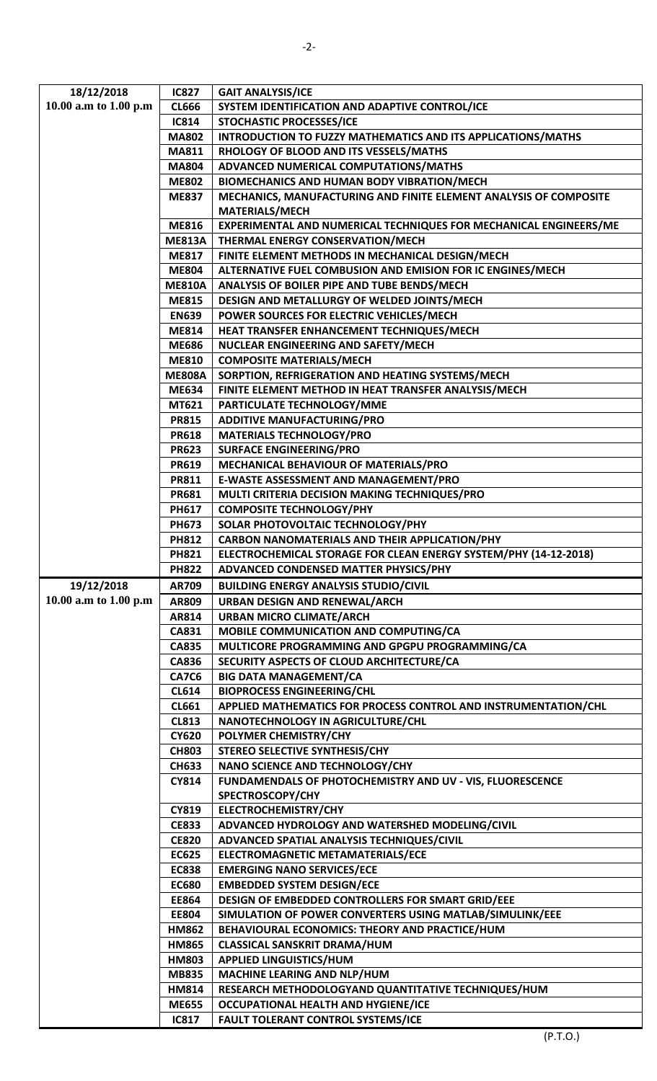| 18/12/2018            | <b>IC827</b>  | <b>GAIT ANALYSIS/ICE</b>                                          |
|-----------------------|---------------|-------------------------------------------------------------------|
| 10.00 a.m to 1.00 p.m | <b>CL666</b>  | SYSTEM IDENTIFICATION AND ADAPTIVE CONTROL/ICE                    |
|                       | <b>IC814</b>  | <b>STOCHASTIC PROCESSES/ICE</b>                                   |
|                       | <b>MA802</b>  | INTRODUCTION TO FUZZY MATHEMATICS AND ITS APPLICATIONS/MATHS      |
|                       | <b>MA811</b>  | RHOLOGY OF BLOOD AND ITS VESSELS/MATHS                            |
|                       | <b>MA804</b>  | ADVANCED NUMERICAL COMPUTATIONS/MATHS                             |
|                       | <b>ME802</b>  | <b>BIOMECHANICS AND HUMAN BODY VIBRATION/MECH</b>                 |
|                       | <b>ME837</b>  | MECHANICS, MANUFACTURING AND FINITE ELEMENT ANALYSIS OF COMPOSITE |
|                       |               | <b>MATERIALS/MECH</b>                                             |
|                       | <b>ME816</b>  | EXPERIMENTAL AND NUMERICAL TECHNIQUES FOR MECHANICAL ENGINEERS/ME |
|                       | <b>ME813A</b> | THERMAL ENERGY CONSERVATION/MECH                                  |
|                       | <b>ME817</b>  | FINITE ELEMENT METHODS IN MECHANICAL DESIGN/MECH                  |
|                       | <b>ME804</b>  | ALTERNATIVE FUEL COMBUSION AND EMISION FOR IC ENGINES/MECH        |
|                       | <b>ME810A</b> | ANALYSIS OF BOILER PIPE AND TUBE BENDS/MECH                       |
|                       | <b>ME815</b>  | DESIGN AND METALLURGY OF WELDED JOINTS/MECH                       |
|                       | <b>EN639</b>  | POWER SOURCES FOR ELECTRIC VEHICLES/MECH                          |
|                       | <b>ME814</b>  | HEAT TRANSFER ENHANCEMENT TECHNIQUES/MECH                         |
|                       | <b>ME686</b>  | NUCLEAR ENGINEERING AND SAFETY/MECH                               |
|                       | <b>ME810</b>  | <b>COMPOSITE MATERIALS/MECH</b>                                   |
|                       | <b>ME808A</b> | SORPTION, REFRIGERATION AND HEATING SYSTEMS/MECH                  |
|                       | <b>ME634</b>  | FINITE ELEMENT METHOD IN HEAT TRANSFER ANALYSIS/MECH              |
|                       | MT621         | PARTICULATE TECHNOLOGY/MME                                        |
|                       | <b>PR815</b>  | <b>ADDITIVE MANUFACTURING/PRO</b>                                 |
|                       | <b>PR618</b>  | <b>MATERIALS TECHNOLOGY/PRO</b>                                   |
|                       | <b>PR623</b>  | <b>SURFACE ENGINEERING/PRO</b>                                    |
|                       | <b>PR619</b>  | MECHANICAL BEHAVIOUR OF MATERIALS/PRO                             |
|                       | <b>PR811</b>  | E-WASTE ASSESSMENT AND MANAGEMENT/PRO                             |
|                       | <b>PR681</b>  | MULTI CRITERIA DECISION MAKING TECHNIQUES/PRO                     |
|                       | PH617         | <b>COMPOSITE TECHNOLOGY/PHY</b>                                   |
|                       | <b>PH673</b>  | SOLAR PHOTOVOLTAIC TECHNOLOGY/PHY                                 |
|                       | <b>PH812</b>  | <b>CARBON NANOMATERIALS AND THEIR APPLICATION/PHY</b>             |
|                       | <b>PH821</b>  | ELECTROCHEMICAL STORAGE FOR CLEAN ENERGY SYSTEM/PHY (14-12-2018)  |
|                       | <b>PH822</b>  | ADVANCED CONDENSED MATTER PHYSICS/PHY                             |
| 19/12/2018            | AR709         | <b>BUILDING ENERGY ANALYSIS STUDIO/CIVIL</b>                      |
| 10.00 a.m to 1.00 p.m | AR809         | <b>URBAN DESIGN AND RENEWAL/ARCH</b>                              |
|                       | AR814         | <b>URBAN MICRO CLIMATE/ARCH</b>                                   |
|                       | CA831         | MOBILE COMMUNICATION AND COMPUTING/CA                             |
|                       | <b>CA835</b>  | MULTICORE PROGRAMMING AND GPGPU PROGRAMMING/CA                    |
|                       | <b>CA836</b>  | SECURITY ASPECTS OF CLOUD ARCHITECTURE/CA                         |
|                       | <b>CA7C6</b>  | <b>BIG DATA MANAGEMENT/CA</b>                                     |
|                       | <b>CL614</b>  | <b>BIOPROCESS ENGINEERING/CHL</b>                                 |
|                       | <b>CL661</b>  | APPLIED MATHEMATICS FOR PROCESS CONTROL AND INSTRUMENTATION/CHL   |
|                       | <b>CL813</b>  | NANOTECHNOLOGY IN AGRICULTURE/CHL                                 |
|                       | <b>CY620</b>  | POLYMER CHEMISTRY/CHY                                             |
|                       | <b>CH803</b>  | STEREO SELECTIVE SYNTHESIS/CHY                                    |
|                       | <b>CH633</b>  | NANO SCIENCE AND TECHNOLOGY/CHY                                   |
|                       | <b>CY814</b>  | FUNDAMENDALS OF PHOTOCHEMISTRY AND UV - VIS, FLUORESCENCE         |
|                       |               | SPECTROSCOPY/CHY                                                  |
|                       | CY819         | <b>ELECTROCHEMISTRY/CHY</b>                                       |
|                       | <b>CE833</b>  | ADVANCED HYDROLOGY AND WATERSHED MODELING/CIVIL                   |
|                       | <b>CE820</b>  | ADVANCED SPATIAL ANALYSIS TECHNIQUES/CIVIL                        |
|                       | <b>EC625</b>  | ELECTROMAGNETIC METAMATERIALS/ECE                                 |
|                       | <b>EC838</b>  | <b>EMERGING NANO SERVICES/ECE</b>                                 |
|                       | <b>EC680</b>  | <b>EMBEDDED SYSTEM DESIGN/ECE</b>                                 |
|                       | <b>EE864</b>  | DESIGN OF EMBEDDED CONTROLLERS FOR SMART GRID/EEE                 |
|                       | <b>EE804</b>  | SIMULATION OF POWER CONVERTERS USING MATLAB/SIMULINK/EEE          |
|                       | <b>HM862</b>  | BEHAVIOURAL ECONOMICS: THEORY AND PRACTICE/HUM                    |
|                       | <b>HM865</b>  | <b>CLASSICAL SANSKRIT DRAMA/HUM</b>                               |
|                       | <b>HM803</b>  | <b>APPLIED LINGUISTICS/HUM</b>                                    |
|                       | <b>MB835</b>  | MACHINE LEARING AND NLP/HUM                                       |
|                       | <b>HM814</b>  | RESEARCH METHODOLOGYAND QUANTITATIVE TECHNIQUES/HUM               |
|                       | <b>ME655</b>  | <b>OCCUPATIONAL HEALTH AND HYGIENE/ICE</b>                        |
|                       | <b>IC817</b>  | <b>FAULT TOLERANT CONTROL SYSTEMS/ICE</b>                         |